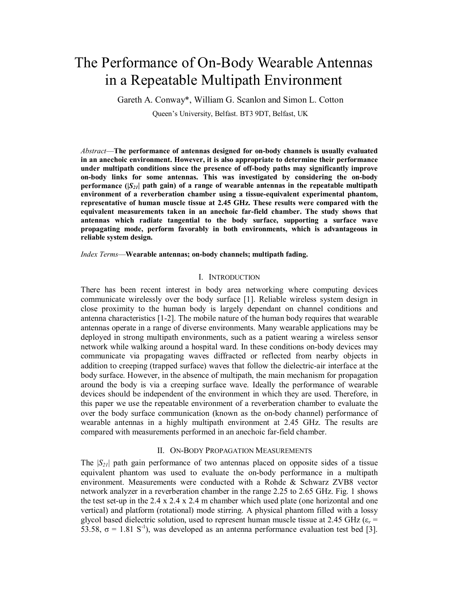# The Performance of On-Body Wearable Antennas in a Repeatable Multipath Environment

Gareth A. Conway\*, William G. Scanlon and Simon L. Cotton

Queen's University, Belfast. BT3 9DT, Belfast, UK

*Abstract*—**The performance of antennas designed for on-body channels is usually evaluated in an anechoic environment. However, it is also appropriate to determine their performance under multipath conditions since the presence of off-body paths may significantly improve on-body links for some antennas. This was investigated by considering the on-body performance**  $(|S_{21}|)$  **path gain) of a range of wearable antennas in the repeatable multipath environment of a reverberation chamber using a tissue-equivalent experimental phantom, representative of human muscle tissue at 2.45 GHz. These results were compared with the equivalent measurements taken in an anechoic far-field chamber. The study shows that antennas which radiate tangential to the body surface, supporting a surface wave propagating mode, perform favorably in both environments, which is advantageous in reliable system design.**

*Index Terms*—**Wearable antennas; on-body channels; multipath fading.** 

## I. INTRODUCTION

There has been recent interest in body area networking where computing devices communicate wirelessly over the body surface [1]. Reliable wireless system design in close proximity to the human body is largely dependant on channel conditions and antenna characteristics [1-2]. The mobile nature of the human body requires that wearable antennas operate in a range of diverse environments. Many wearable applications may be deployed in strong multipath environments, such as a patient wearing a wireless sensor network while walking around a hospital ward. In these conditions on-body devices may communicate via propagating waves diffracted or reflected from nearby objects in addition to creeping (trapped surface) waves that follow the dielectric-air interface at the body surface. However, in the absence of multipath, the main mechanism for propagation around the body is via a creeping surface wave. Ideally the performance of wearable devices should be independent of the environment in which they are used. Therefore, in this paper we use the repeatable environment of a reverberation chamber to evaluate the over the body surface communication (known as the on-body channel) performance of wearable antennas in a highly multipath environment at 2.45 GHz. The results are compared with measurements performed in an anechoic far-field chamber.

## II. ON-BODY PROPAGATION MEASUREMENTS

The  $|S_{21}|$  path gain performance of two antennas placed on opposite sides of a tissue equivalent phantom was used to evaluate the on-body performance in a multipath environment. Measurements were conducted with a Rohde & Schwarz ZVB8 vector network analyzer in a reverberation chamber in the range 2.25 to 2.65 GHz. Fig. 1 shows the test set-up in the 2.4  $\times$  2.4  $\times$  2.4 m chamber which used plate (one horizontal and one vertical) and platform (rotational) mode stirring. A physical phantom filled with a lossy glycol based dielectric solution, used to represent human muscle tissue at 2.45 GHz  $(\varepsilon_r =$ 53.58,  $\sigma = 1.81$  S<sup>-1</sup>), was developed as an antenna performance evaluation test bed [3].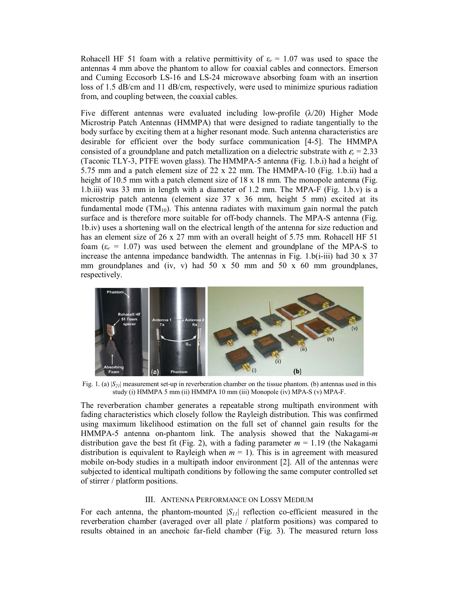Rohacell HF 51 foam with a relative permittivity of  $\varepsilon_r = 1.07$  was used to space the antennas 4 mm above the phantom to allow for coaxial cables and connectors. Emerson and Cuming Eccosorb LS-16 and LS-24 microwave absorbing foam with an insertion loss of 1.5 dB/cm and 11 dB/cm, respectively, were used to minimize spurious radiation from, and coupling between, the coaxial cables.

Five different antennas were evaluated including low-profile  $(\lambda/20)$  Higher Mode Microstrip Patch Antennas (HMMPA) that were designed to radiate tangentially to the body surface by exciting them at a higher resonant mode. Such antenna characteristics are desirable for efficient over the body surface communication [4-5]. The HMMPA consisted of a groundplane and patch metallization on a dielectric substrate with  $\varepsilon_r = 2.33$ (Taconic TLY-3, PTFE woven glass). The HMMPA-5 antenna (Fig. 1.b.i) had a height of 5.75 mm and a patch element size of 22 x 22 mm. The HMMPA-10 (Fig. 1.b.ii) had a height of 10.5 mm with a patch element size of 18 x 18 mm. The monopole antenna (Fig. 1.b.iii) was 33 mm in length with a diameter of 1.2 mm. The MPA-F (Fig. 1.b.v) is a microstrip patch antenna (element size  $37 \times 36$  mm, height 5 mm) excited at its fundamental mode  $(TM_{10})$ . This antenna radiates with maximum gain normal the patch surface and is therefore more suitable for off-body channels. The MPA-S antenna (Fig. 1b.iv) uses a shortening wall on the electrical length of the antenna for size reduction and has an element size of 26 x 27 mm with an overall height of 5.75 mm. Rohacell HF 51 foam  $(\varepsilon_r = 1.07)$  was used between the element and groundplane of the MPA-S to increase the antenna impedance bandwidth. The antennas in Fig. 1.b(i-iii) had 30 x 37 mm groundplanes and (iv, v) had 50 x 50 mm and 50 x 60 mm groundplanes, respectively.



Fig. 1. (a)  $|S_{21}|$  measurement set-up in reverberation chamber on the tissue phantom. (b) antennas used in this study (i) HMMPA 5 mm (ii) HMMPA 10 mm (iii) Monopole (iv) MPA-S (v) MPA-F.

The reverberation chamber generates a repeatable strong multipath environment with fading characteristics which closely follow the Rayleigh distribution. This was confirmed using maximum likelihood estimation on the full set of channel gain results for the HMMPA-5 antenna on-phantom link. The analysis showed that the Nakagami-*m* distribution gave the best fit (Fig. 2), with a fading parameter  $m = 1.19$  (the Nakagami distribution is equivalent to Rayleigh when  $m = 1$ ). This is in agreement with measured mobile on-body studies in a multipath indoor environment [2]. All of the antennas were subjected to identical multipath conditions by following the same computer controlled set of stirrer / platform positions.

#### III. ANTENNA PERFORMANCE ON LOSSY MEDIUM

For each antenna, the phantom-mounted  $|S_{11}|$  reflection co-efficient measured in the reverberation chamber (averaged over all plate / platform positions) was compared to results obtained in an anechoic far-field chamber (Fig. 3). The measured return loss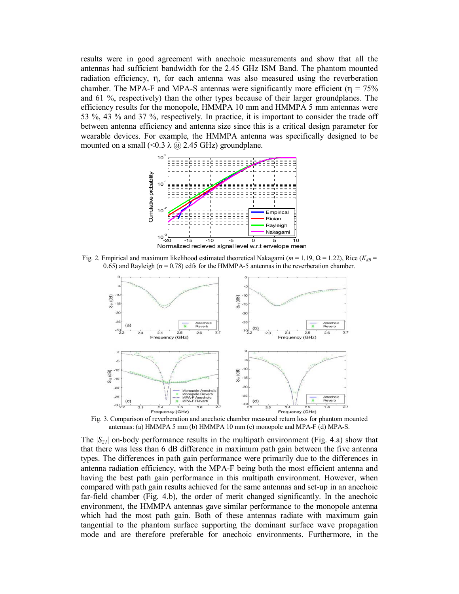results were in good agreement with anechoic measurements and show that all the antennas had sufficient bandwidth for the 2.45 GHz ISM Band. The phantom mounted radiation efficiency, η, for each antenna was also measured using the reverberation chamber. The MPA-F and MPA-S antennas were significantly more efficient ( $\eta = 75\%$ ) and 61 %, respectively) than the other types because of their larger groundplanes. The efficiency results for the monopole, HMMPA 10 mm and HMMPA 5 mm antennas were 53 %, 43 % and 37 %, respectively. In practice, it is important to consider the trade off between antenna efficiency and antenna size since this is a critical design parameter for wearable devices. For example, the HMMPA antenna was specifically designed to be mounted on a small (<0.3  $\lambda$  @ 2.45 GHz) groundplane.



Fig. 2. Empirical and maximum likelihood estimated theoretical Nakagami ( $m = 1.19$ ,  $\Omega = 1.22$ ), Rice ( $K_{dB}$ 0.65) and Rayleigh ( $\sigma$  = 0.78) cdfs for the HMMPA-5 antennas in the reverberation chamber.



Fig. 3. Comparison of reverberation and anechoic chamber measured return loss for phantom mounted antennas: (a) HMMPA 5 mm (b) HMMPA 10 mm (c) monopole and MPA-F (d) MPA-S.

The  $|S_{21}|$  on-body performance results in the multipath environment (Fig. 4.a) show that that there was less than 6 dB difference in maximum path gain between the five antenna types. The differences in path gain performance were primarily due to the differences in antenna radiation efficiency, with the MPA-F being both the most efficient antenna and having the best path gain performance in this multipath environment. However, when compared with path gain results achieved for the same antennas and set-up in an anechoic far-field chamber (Fig. 4.b), the order of merit changed significantly. In the anechoic environment, the HMMPA antennas gave similar performance to the monopole antenna which had the most path gain. Both of these antennas radiate with maximum gain tangential to the phantom surface supporting the dominant surface wave propagation mode and are therefore preferable for anechoic environments. Furthermore, in the